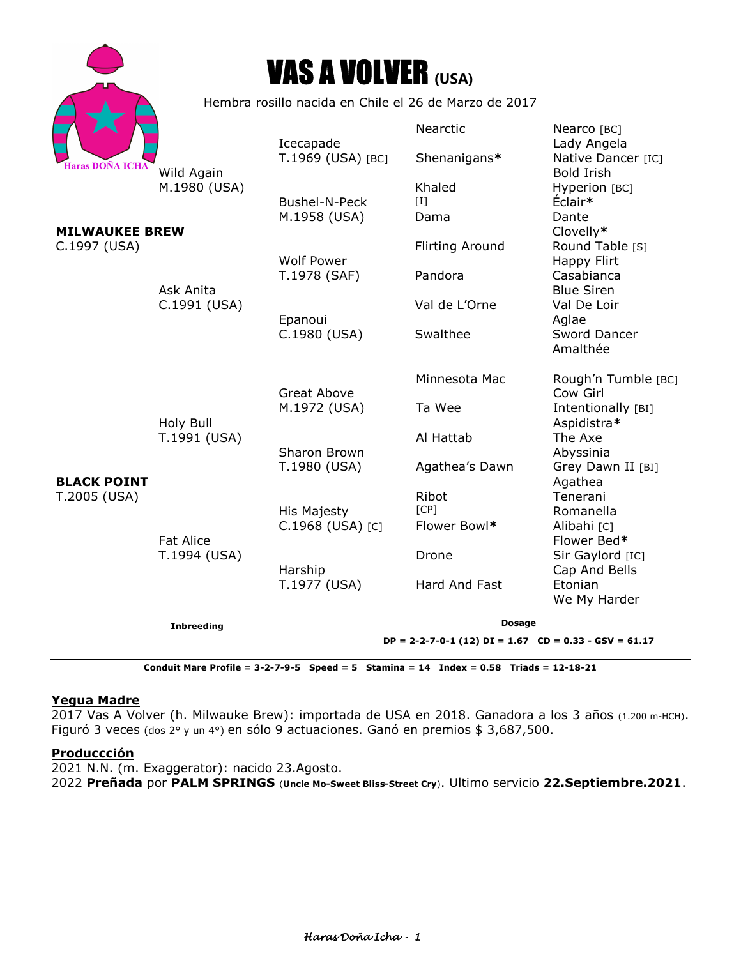|                                       |                                                       | <b>VAS A VOLVER (USA)</b>                                 |                                |                                             |
|---------------------------------------|-------------------------------------------------------|-----------------------------------------------------------|--------------------------------|---------------------------------------------|
|                                       | Hembra rosillo nacida en Chile el 26 de Marzo de 2017 |                                                           |                                |                                             |
|                                       |                                                       | Icecapade                                                 | <b>Nearctic</b>                | Nearco [BC]<br>Lady Angela                  |
| <b>Haras DOÑA ICHA</b>                | Wild Again                                            | T.1969 (USA) [BC]                                         | Shenanigans*                   | Native Dancer [IC]<br><b>Bold Irish</b>     |
|                                       | M.1980 (USA)                                          | Bushel-N-Peck<br>M.1958 (USA)                             | Khaled<br>$\mathbf{I}$<br>Dama | Hyperion [BC]<br>Éclair*<br>Dante           |
| <b>MILWAUKEE BREW</b><br>C.1997 (USA) |                                                       | <b>Wolf Power</b>                                         | <b>Flirting Around</b>         | Clovelly*<br>Round Table [S]<br>Happy Flirt |
|                                       | Ask Anita                                             | T.1978 (SAF)                                              | Pandora                        | Casabianca<br><b>Blue Siren</b>             |
|                                       | C.1991 (USA)                                          | Epanoui                                                   | Val de L'Orne                  | Val De Loir<br>Aglae                        |
| <b>BLACK POINT</b><br>T.2005 (USA)    | Holy Bull<br>T.1991 (USA)                             | C.1980 (USA)                                              | Swalthee                       | Sword Dancer<br>Amalthée                    |
|                                       |                                                       | <b>Great Above</b>                                        | Minnesota Mac                  | Rough'n Tumble [BC]<br>Cow Girl             |
|                                       |                                                       | M.1972 (USA)                                              | Ta Wee                         | Intentionally [BI]<br>Aspidistra*           |
|                                       |                                                       | Sharon Brown                                              | Al Hattab                      | The Axe<br>Abyssinia                        |
|                                       | <b>Fat Alice</b><br>T.1994 (USA)                      | T.1980 (USA)                                              | Agathea's Dawn                 | Grey Dawn II [BI]<br>Agathea                |
|                                       |                                                       | His Majesty                                               | Ribot<br>[CP]                  | Tenerani<br>Romanella                       |
|                                       |                                                       | C.1968 (USA) [C]                                          | Flower Bowl*                   | Alibahi [C]<br>Flower Bed*                  |
|                                       |                                                       | Harship                                                   | Drone                          | Sir Gaylord [IC]<br>Cap And Bells           |
|                                       |                                                       | T.1977 (USA)                                              | Hard And Fast                  | Etonian<br>We My Harder                     |
|                                       | <b>Inbreeding</b>                                     | <b>Dosage</b>                                             |                                |                                             |
|                                       |                                                       | $DP = 2-2-7-0-1$ (12) $DI = 1.67$ CD = 0.33 - GSV = 61.17 |                                |                                             |

**Conduit Mare Profile = 3-2-7-9-5 Speed = 5 Stamina = 14 Index = 0.58 Triads = 12-18-21** 

# **Yegua Madre**

2017 Vas A Volver (h. Milwauke Brew): importada de USA en 2018. Ganadora a los 3 años (1.200 m-HCH). Figuró 3 veces (dos 2° y un 4°) en sólo 9 actuaciones. Ganó en premios \$ 3,687,500.

## **Produccción**

2021 N.N. (m. Exaggerator): nacido 23.Agosto. 2022 **Preñada** por **PALM SPRINGS** (**Uncle Mo-Sweet Bliss-Street Cry**). Ultimo servicio **22.Septiembre.2021**.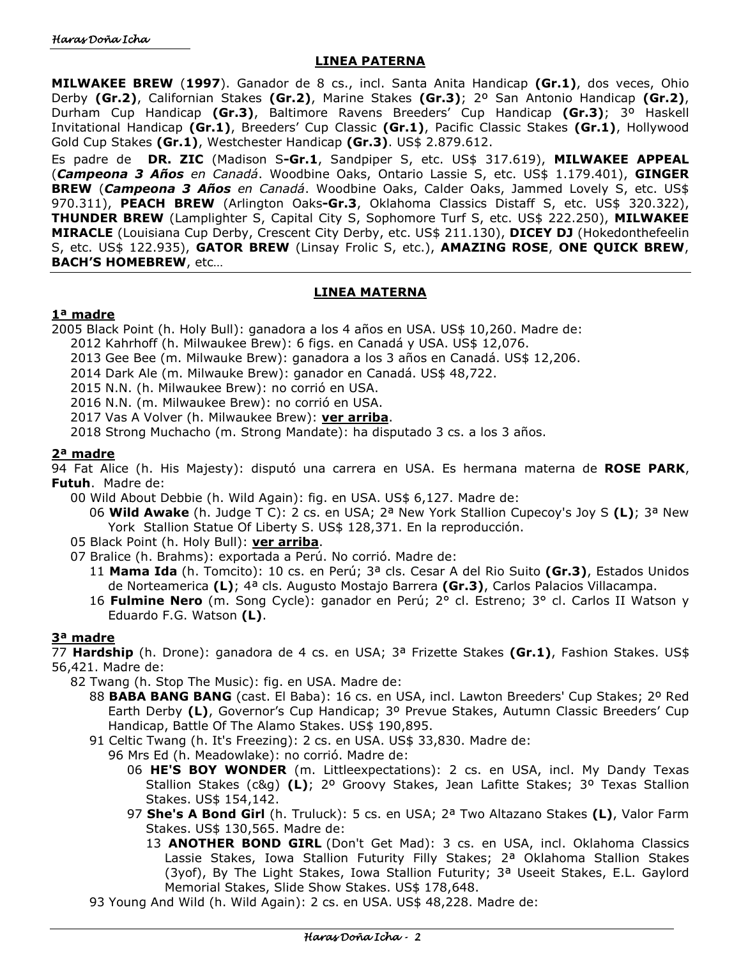#### **LINEA PATERNA**

**MILWAKEE BREW** (**1997**). Ganador de 8 cs., incl. Santa Anita Handicap **(Gr.1)**, dos veces, Ohio Derby **(Gr.2)**, Californian Stakes **(Gr.2)**, Marine Stakes **(Gr.3)**; 2º San Antonio Handicap **(Gr.2)**, Durham Cup Handicap **(Gr.3)**, Baltimore Ravens Breeders' Cup Handicap **(Gr.3)**; 3º Haskell Invitational Handicap **(Gr.1)**, Breeders' Cup Classic **(Gr.1)**, Pacific Classic Stakes **(Gr.1)**, Hollywood Gold Cup Stakes **(Gr.1)**, Westchester Handicap **(Gr.3)**. US\$ 2.879.612.

Es padre de **DR. ZIC** (Madison S**-Gr.1**, Sandpiper S, etc. US\$ 317.619), **MILWAKEE APPEAL** (*Campeona 3 Años en Canadá*. Woodbine Oaks, Ontario Lassie S, etc. US\$ 1.179.401), **GINGER BREW** (*Campeona 3 Años en Canadá*. Woodbine Oaks, Calder Oaks, Jammed Lovely S, etc. US\$ 970.311), **PEACH BREW** (Arlington Oaks**-Gr.3**, Oklahoma Classics Distaff S, etc. US\$ 320.322), **THUNDER BREW** (Lamplighter S, Capital City S, Sophomore Turf S, etc. US\$ 222.250), **MILWAKEE MIRACLE** (Louisiana Cup Derby, Crescent City Derby, etc. US\$ 211.130), **DICEY DJ** (Hokedonthefeelin S, etc. US\$ 122.935), **GATOR BREW** (Linsay Frolic S, etc.), **AMAZING ROSE**, **ONE QUICK BREW**, **BACH'S HOMEBREW**, etc…

### **LINEA MATERNA**

#### **1ª madre**

2005 Black Point (h. Holy Bull): ganadora a los 4 años en USA. US\$ 10,260. Madre de:

- 2012 Kahrhoff (h. Milwaukee Brew): 6 figs. en Canadá y USA. US\$ 12,076.
- 2013 Gee Bee (m. Milwauke Brew): ganadora a los 3 años en Canadá. US\$ 12,206.
- 2014 Dark Ale (m. Milwauke Brew): ganador en Canadá. US\$ 48,722.
- 2015 N.N. (h. Milwaukee Brew): no corrió en USA.
- 2016 N.N. (m. Milwaukee Brew): no corrió en USA.
- 2017 Vas A Volver (h. Milwaukee Brew): **ver arriba**.

2018 Strong Muchacho (m. Strong Mandate): ha disputado 3 cs. a los 3 años.

#### **2ª madre**

94 Fat Alice (h. His Majesty): disputó una carrera en USA. Es hermana materna de **ROSE PARK**, **Futuh**. Madre de:

00 Wild About Debbie (h. Wild Again): fig. en USA. US\$ 6,127. Madre de:

06 **Wild Awake** (h. Judge T C): 2 cs. en USA; 2ª New York Stallion Cupecoy's Joy S **(L)**; 3ª New York Stallion Statue Of Liberty S. US\$ 128,371. En la reproducción.

- 05 Black Point (h. Holy Bull): **ver arriba**.
- 07 Bralice (h. Brahms): exportada a Perú. No corrió. Madre de:
	- 11 **Mama Ida** (h. Tomcito): 10 cs. en Perú; 3ª cls. Cesar A del Rio Suito **(Gr.3)**, Estados Unidos de Norteamerica **(L)**; 4ª cls. Augusto Mostajo Barrera **(Gr.3)**, Carlos Palacios Villacampa.
	- 16 **Fulmine Nero** (m. Song Cycle): ganador en Perú; 2° cl. Estreno; 3° cl. Carlos II Watson y Eduardo F.G. Watson **(L)**.

### **3ª madre**

77 **Hardship** (h. Drone): ganadora de 4 cs. en USA; 3ª Frizette Stakes **(Gr.1)**, Fashion Stakes. US\$ 56,421. Madre de:

- 82 Twang (h. Stop The Music): fig. en USA. Madre de:
	- 88 **BABA BANG BANG** (cast. El Baba): 16 cs. en USA, incl. Lawton Breeders' Cup Stakes; 2º Red Earth Derby **(L)**, Governor's Cup Handicap; 3º Prevue Stakes, Autumn Classic Breeders' Cup Handicap, Battle Of The Alamo Stakes. US\$ 190,895.
	- 91 Celtic Twang (h. It's Freezing): 2 cs. en USA. US\$ 33,830. Madre de:
		- 96 Mrs Ed (h. Meadowlake): no corrió. Madre de:
			- 06 **HE'S BOY WONDER** (m. Littleexpectations): 2 cs. en USA, incl. My Dandy Texas Stallion Stakes (c&g) **(L)**; 2º Groovy Stakes, Jean Lafitte Stakes; 3º Texas Stallion Stakes. US\$ 154,142.
			- 97 **She's A Bond Girl** (h. Truluck): 5 cs. en USA; 2ª Two Altazano Stakes **(L)**, Valor Farm Stakes. US\$ 130,565. Madre de:
				- 13 **ANOTHER BOND GIRL** (Don't Get Mad): 3 cs. en USA, incl. Oklahoma Classics Lassie Stakes, Iowa Stallion Futurity Filly Stakes; 2ª Oklahoma Stallion Stakes (3yof), By The Light Stakes, Iowa Stallion Futurity; 3ª Useeit Stakes, E.L. Gaylord Memorial Stakes, Slide Show Stakes. US\$ 178,648.
	- 93 Young And Wild (h. Wild Again): 2 cs. en USA. US\$ 48,228. Madre de: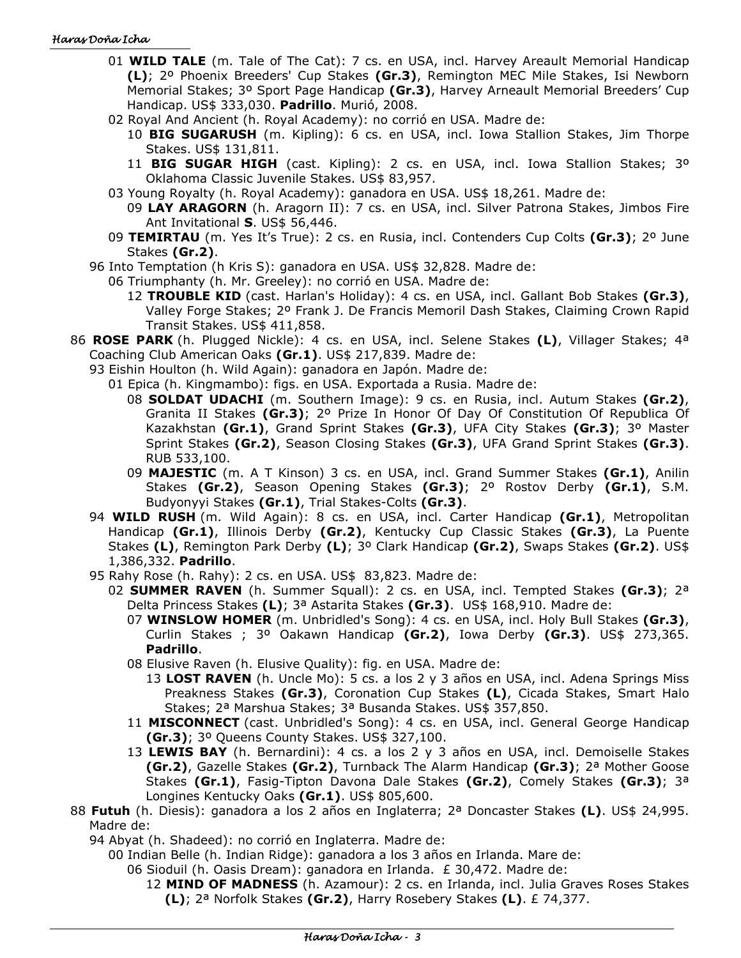- 01 **WILD TALE** (m. Tale of The Cat): 7 cs. en USA, incl. Harvey Areault Memorial Handicap **(L)**; 2º Phoenix Breeders' Cup Stakes **(Gr.3)**, Remington MEC Mile Stakes, Isi Newborn Memorial Stakes; 3º Sport Page Handicap **(Gr.3)**, Harvey Arneault Memorial Breeders' Cup Handicap. US\$ 333,030. **Padrillo**. Murió, 2008.
- 02 Royal And Ancient (h. Royal Academy): no corrió en USA. Madre de:
	- 10 **BIG SUGARUSH** (m. Kipling): 6 cs. en USA, incl. Iowa Stallion Stakes, Jim Thorpe Stakes. US\$ 131,811.
	- 11 **BIG SUGAR HIGH** (cast. Kipling): 2 cs. en USA, incl. Iowa Stallion Stakes; 3º Oklahoma Classic Juvenile Stakes. US\$ 83,957.
- 03 Young Royalty (h. Royal Academy): ganadora en USA. US\$ 18,261. Madre de:
	- 09 **LAY ARAGORN** (h. Aragorn II): 7 cs. en USA, incl. Silver Patrona Stakes, Jimbos Fire Ant Invitational **S**. US\$ 56,446.
- 09 **TEMIRTAU** (m. Yes It's True): 2 cs. en Rusia, incl. Contenders Cup Colts **(Gr.3)**; 2º June Stakes **(Gr.2)**.
- 96 Into Temptation (h Kris S): ganadora en USA. US\$ 32,828. Madre de:
	- 06 Triumphanty (h. Mr. Greeley): no corrió en USA. Madre de:
		- 12 **TROUBLE KID** (cast. Harlan's Holiday): 4 cs. en USA, incl. Gallant Bob Stakes **(Gr.3)**, Valley Forge Stakes; 2º Frank J. De Francis Memoril Dash Stakes, Claiming Crown Rapid Transit Stakes. US\$ 411,858.
- 86 **ROSE PARK** (h. Plugged Nickle): 4 cs. en USA, incl. Selene Stakes **(L)**, Villager Stakes; 4ª Coaching Club American Oaks **(Gr.1)**. US\$ 217,839. Madre de:
	- 93 Eishin Houlton (h. Wild Again): ganadora en Japón. Madre de:
		- 01 Epica (h. Kingmambo): figs. en USA. Exportada a Rusia. Madre de:
			- 08 **SOLDAT UDACHI** (m. Southern Image): 9 cs. en Rusia, incl. Autum Stakes **(Gr.2)**, Granita II Stakes **(Gr.3)**; 2º Prize In Honor Of Day Of Constitution Of Republica Of Kazakhstan **(Gr.1)**, Grand Sprint Stakes **(Gr.3)**, UFA City Stakes **(Gr.3)**; 3º Master Sprint Stakes **(Gr.2)**, Season Closing Stakes **(Gr.3)**, UFA Grand Sprint Stakes **(Gr.3)**. RUB 533,100.
			- 09 **MAJESTIC** (m. A T Kinson) 3 cs. en USA, incl. Grand Summer Stakes **(Gr.1)**, Anilin Stakes **(Gr.2)**, Season Opening Stakes **(Gr.3)**; 2º Rostov Derby **(Gr.1)**, S.M. Budyonyyi Stakes **(Gr.1)**, Trial Stakes-Colts **(Gr.3)**.
	- 94 **WILD RUSH** (m. Wild Again): 8 cs. en USA, incl. Carter Handicap **(Gr.1)**, Metropolitan Handicap **(Gr.1)**, Illinois Derby **(Gr.2)**, Kentucky Cup Classic Stakes **(Gr.3)**, La Puente Stakes **(L)**, Remington Park Derby **(L)**; 3º Clark Handicap **(Gr.2)**, Swaps Stakes **(Gr.2)**. US\$ 1,386,332. **Padrillo**.
	- 95 Rahy Rose (h. Rahy): 2 cs. en USA. US\$ 83,823. Madre de:
		- 02 **SUMMER RAVEN** (h. Summer Squall): 2 cs. en USA, incl. Tempted Stakes **(Gr.3)**; 2ª Delta Princess Stakes **(L)**; 3ª Astarita Stakes **(Gr.3)**. US\$ 168,910. Madre de:
			- 07 **WINSLOW HOMER** (m. Unbridled's Song): 4 cs. en USA, incl. Holy Bull Stakes **(Gr.3)**, Curlin Stakes ; 3º Oakawn Handicap **(Gr.2)**, Iowa Derby **(Gr.3)**. US\$ 273,365. **Padrillo**.
			- 08 Elusive Raven (h. Elusive Quality): fig. en USA. Madre de:
				- 13 **LOST RAVEN** (h. Uncle Mo): 5 cs. a los 2 y 3 años en USA, incl. Adena Springs Miss Preakness Stakes **(Gr.3)**, Coronation Cup Stakes **(L)**, Cicada Stakes, Smart Halo Stakes; 2ª Marshua Stakes; 3ª Busanda Stakes. US\$ 357,850.
			- 11 **MISCONNECT** (cast. Unbridled's Song): 4 cs. en USA, incl. General George Handicap **(Gr.3)**; 3º Queens County Stakes. US\$ 327,100.
			- 13 **LEWIS BAY** (h. Bernardini): 4 cs. a los 2 y 3 años en USA, incl. Demoiselle Stakes **(Gr.2)**, Gazelle Stakes **(Gr.2)**, Turnback The Alarm Handicap **(Gr.3)**; 2ª Mother Goose Stakes **(Gr.1)**, Fasig-Tipton Davona Dale Stakes **(Gr.2)**, Comely Stakes **(Gr.3)**; 3ª Longines Kentucky Oaks **(Gr.1)**. US\$ 805,600.
- 88 **Futuh** (h. Diesis): ganadora a los 2 años en Inglaterra; 2ª Doncaster Stakes **(L)**. US\$ 24,995. Madre de:
	- 94 Abyat (h. Shadeed): no corrió en Inglaterra. Madre de:

00 Indian Belle (h. Indian Ridge): ganadora a los 3 años en Irlanda. Mare de:

- 06 Sioduil (h. Oasis Dream): ganadora en Irlanda. £ 30,472. Madre de:
	- 12 **MIND OF MADNESS** (h. Azamour): 2 cs. en Irlanda, incl. Julia Graves Roses Stakes **(L)**; 2ª Norfolk Stakes **(Gr.2)**, Harry Rosebery Stakes **(L)**. £ 74,377.